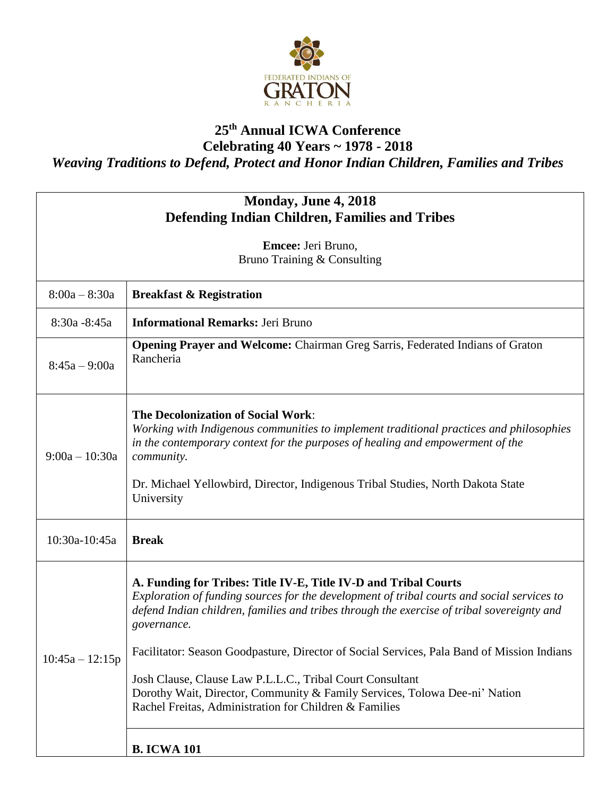

## **25th Annual ICWA Conference**

**Celebrating 40 Years ~ 1978 - 2018** *Weaving Traditions to Defend, Protect and Honor Indian Children, Families and Tribes*

| Monday, June 4, 2018<br><b>Defending Indian Children, Families and Tribes</b> |                                                                                                                                                                                                                                                                                                                                                                                                                                                                                                                                                                               |  |
|-------------------------------------------------------------------------------|-------------------------------------------------------------------------------------------------------------------------------------------------------------------------------------------------------------------------------------------------------------------------------------------------------------------------------------------------------------------------------------------------------------------------------------------------------------------------------------------------------------------------------------------------------------------------------|--|
| Emcee: Jeri Bruno,<br>Bruno Training & Consulting                             |                                                                                                                                                                                                                                                                                                                                                                                                                                                                                                                                                                               |  |
| $8:00a - 8:30a$                                                               | <b>Breakfast &amp; Registration</b>                                                                                                                                                                                                                                                                                                                                                                                                                                                                                                                                           |  |
| 8:30a - 8:45a                                                                 | <b>Informational Remarks: Jeri Bruno</b>                                                                                                                                                                                                                                                                                                                                                                                                                                                                                                                                      |  |
| $8:45a - 9:00a$                                                               | <b>Opening Prayer and Welcome:</b> Chairman Greg Sarris, Federated Indians of Graton<br>Rancheria                                                                                                                                                                                                                                                                                                                                                                                                                                                                             |  |
| $9:00a - 10:30a$                                                              | <b>The Decolonization of Social Work:</b><br>Working with Indigenous communities to implement traditional practices and philosophies<br>in the contemporary context for the purposes of healing and empowerment of the<br><i>community.</i><br>Dr. Michael Yellowbird, Director, Indigenous Tribal Studies, North Dakota State<br>University                                                                                                                                                                                                                                  |  |
| 10:30a-10:45a                                                                 | <b>Break</b>                                                                                                                                                                                                                                                                                                                                                                                                                                                                                                                                                                  |  |
| $10:45a - 12:15p$                                                             | A. Funding for Tribes: Title IV-E, Title IV-D and Tribal Courts<br>Exploration of funding sources for the development of tribal courts and social services to<br>defend Indian children, families and tribes through the exercise of tribal sovereignty and<br>governance.<br>Facilitator: Season Goodpasture, Director of Social Services, Pala Band of Mission Indians<br>Josh Clause, Clause Law P.L.L.C., Tribal Court Consultant<br>Dorothy Wait, Director, Community & Family Services, Tolowa Dee-ni' Nation<br>Rachel Freitas, Administration for Children & Families |  |
|                                                                               | <b>B. ICWA 101</b>                                                                                                                                                                                                                                                                                                                                                                                                                                                                                                                                                            |  |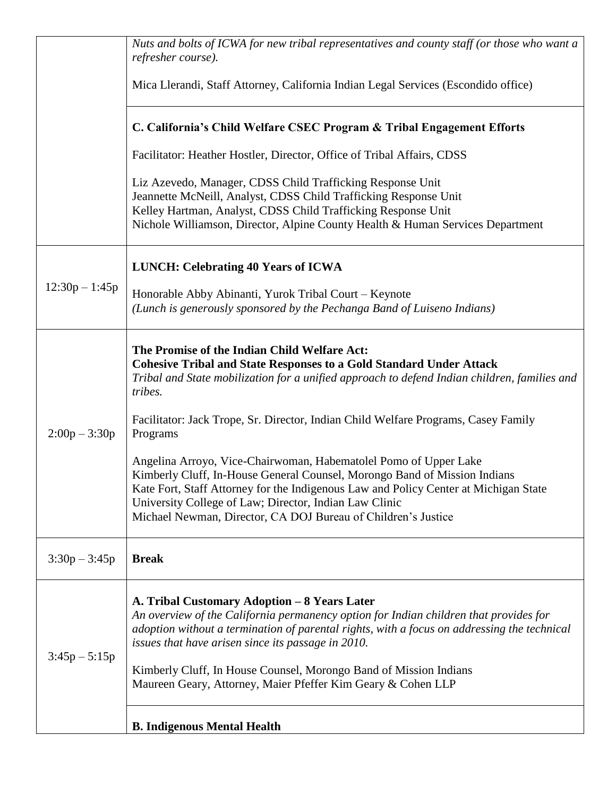|                  | Nuts and bolts of ICWA for new tribal representatives and county staff (or those who want a<br>refresher course).                                                                                                                                                                                                                                                                                                               |
|------------------|---------------------------------------------------------------------------------------------------------------------------------------------------------------------------------------------------------------------------------------------------------------------------------------------------------------------------------------------------------------------------------------------------------------------------------|
|                  | Mica Llerandi, Staff Attorney, California Indian Legal Services (Escondido office)                                                                                                                                                                                                                                                                                                                                              |
|                  | C. California's Child Welfare CSEC Program & Tribal Engagement Efforts                                                                                                                                                                                                                                                                                                                                                          |
|                  | Facilitator: Heather Hostler, Director, Office of Tribal Affairs, CDSS                                                                                                                                                                                                                                                                                                                                                          |
|                  | Liz Azevedo, Manager, CDSS Child Trafficking Response Unit<br>Jeannette McNeill, Analyst, CDSS Child Trafficking Response Unit<br>Kelley Hartman, Analyst, CDSS Child Trafficking Response Unit<br>Nichole Williamson, Director, Alpine County Health & Human Services Department                                                                                                                                               |
| $12:30p - 1:45p$ | <b>LUNCH: Celebrating 40 Years of ICWA</b>                                                                                                                                                                                                                                                                                                                                                                                      |
|                  | Honorable Abby Abinanti, Yurok Tribal Court – Keynote<br>(Lunch is generously sponsored by the Pechanga Band of Luiseno Indians)                                                                                                                                                                                                                                                                                                |
| $2:00p - 3:30p$  | The Promise of the Indian Child Welfare Act:<br><b>Cohesive Tribal and State Responses to a Gold Standard Under Attack</b><br>Tribal and State mobilization for a unified approach to defend Indian children, families and<br>tribes.                                                                                                                                                                                           |
|                  | Facilitator: Jack Trope, Sr. Director, Indian Child Welfare Programs, Casey Family<br>Programs                                                                                                                                                                                                                                                                                                                                  |
|                  | Angelina Arroyo, Vice-Chairwoman, Habematolel Pomo of Upper Lake<br>Kimberly Cluff, In-House General Counsel, Morongo Band of Mission Indians<br>Kate Fort, Staff Attorney for the Indigenous Law and Policy Center at Michigan State<br>University College of Law; Director, Indian Law Clinic<br>Michael Newman, Director, CA DOJ Bureau of Children's Justice                                                                |
| $3:30p - 3:45p$  | <b>Break</b>                                                                                                                                                                                                                                                                                                                                                                                                                    |
| $3:45p - 5:15p$  | A. Tribal Customary Adoption - 8 Years Later<br>An overview of the California permanency option for Indian children that provides for<br>adoption without a termination of parental rights, with a focus on addressing the technical<br>issues that have arisen since its passage in 2010.<br>Kimberly Cluff, In House Counsel, Morongo Band of Mission Indians<br>Maureen Geary, Attorney, Maier Pfeffer Kim Geary & Cohen LLP |
|                  | <b>B. Indigenous Mental Health</b>                                                                                                                                                                                                                                                                                                                                                                                              |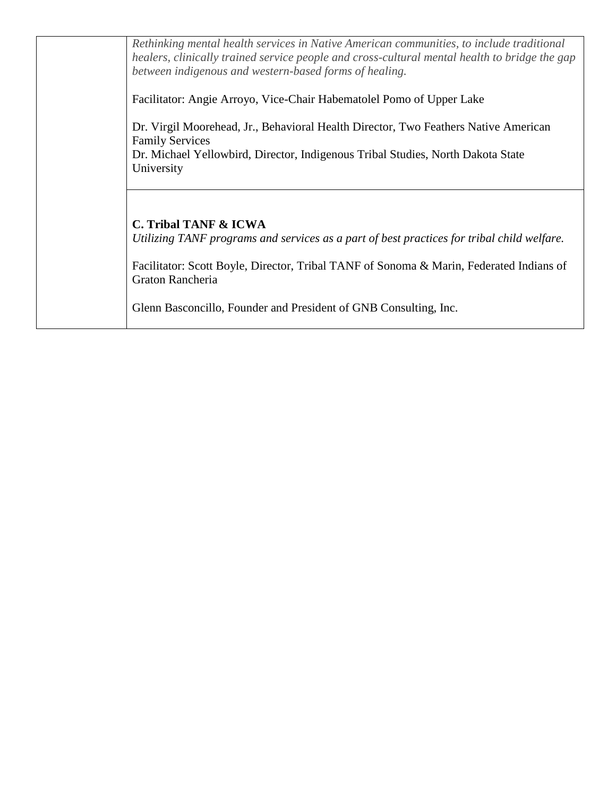| Rethinking mental health services in Native American communities, to include traditional<br>healers, clinically trained service people and cross-cultural mental health to bridge the gap<br>between indigenous and western-based forms of healing. |
|-----------------------------------------------------------------------------------------------------------------------------------------------------------------------------------------------------------------------------------------------------|
| Facilitator: Angie Arroyo, Vice-Chair Habematolel Pomo of Upper Lake                                                                                                                                                                                |
| Dr. Virgil Moorehead, Jr., Behavioral Health Director, Two Feathers Native American<br><b>Family Services</b>                                                                                                                                       |
| Dr. Michael Yellowbird, Director, Indigenous Tribal Studies, North Dakota State<br>University                                                                                                                                                       |
|                                                                                                                                                                                                                                                     |
| <b>C. Tribal TANF &amp; ICWA</b><br>Utilizing TANF programs and services as a part of best practices for tribal child welfare.                                                                                                                      |
| Facilitator: Scott Boyle, Director, Tribal TANF of Sonoma & Marin, Federated Indians of<br>Graton Rancheria                                                                                                                                         |
| Glenn Basconcillo, Founder and President of GNB Consulting, Inc.                                                                                                                                                                                    |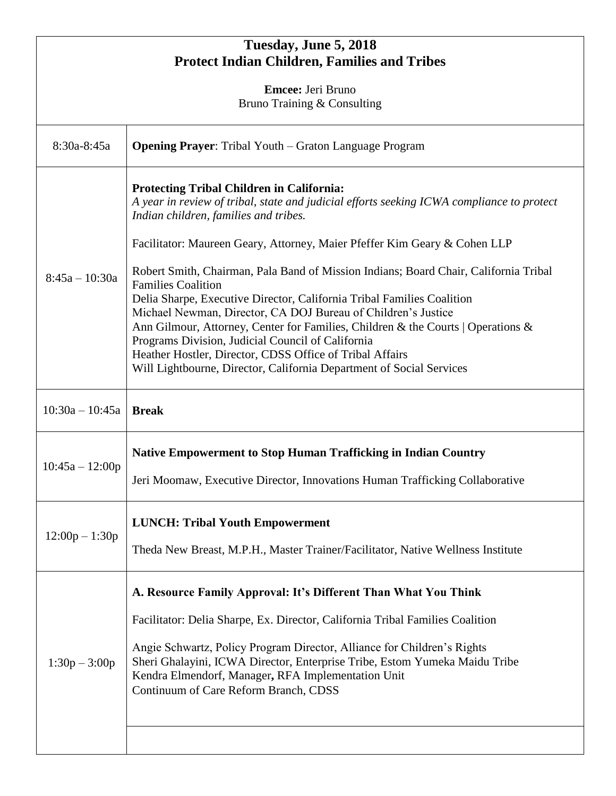| Tuesday, June 5, 2018<br><b>Protect Indian Children, Families and Tribes</b> |                                                                                                                                                                                                                                                                                                                                                                                                                                                                                                                                           |  |
|------------------------------------------------------------------------------|-------------------------------------------------------------------------------------------------------------------------------------------------------------------------------------------------------------------------------------------------------------------------------------------------------------------------------------------------------------------------------------------------------------------------------------------------------------------------------------------------------------------------------------------|--|
| <b>Emcee:</b> Jeri Bruno                                                     |                                                                                                                                                                                                                                                                                                                                                                                                                                                                                                                                           |  |
| Bruno Training & Consulting                                                  |                                                                                                                                                                                                                                                                                                                                                                                                                                                                                                                                           |  |
| 8:30a-8:45a                                                                  | <b>Opening Prayer:</b> Tribal Youth – Graton Language Program                                                                                                                                                                                                                                                                                                                                                                                                                                                                             |  |
| $8:45a - 10:30a$                                                             | <b>Protecting Tribal Children in California:</b><br>A year in review of tribal, state and judicial efforts seeking ICWA compliance to protect<br>Indian children, families and tribes.<br>Facilitator: Maureen Geary, Attorney, Maier Pfeffer Kim Geary & Cohen LLP                                                                                                                                                                                                                                                                       |  |
|                                                                              | Robert Smith, Chairman, Pala Band of Mission Indians; Board Chair, California Tribal<br><b>Families Coalition</b><br>Delia Sharpe, Executive Director, California Tribal Families Coalition<br>Michael Newman, Director, CA DOJ Bureau of Children's Justice<br>Ann Gilmour, Attorney, Center for Families, Children & the Courts   Operations &<br>Programs Division, Judicial Council of California<br>Heather Hostler, Director, CDSS Office of Tribal Affairs<br>Will Lightbourne, Director, California Department of Social Services |  |
| $10:30a - 10:45a$                                                            | <b>Break</b>                                                                                                                                                                                                                                                                                                                                                                                                                                                                                                                              |  |
| $10:45a - 12:00p$                                                            | <b>Native Empowerment to Stop Human Trafficking in Indian Country</b><br>Jeri Moomaw, Executive Director, Innovations Human Trafficking Collaborative                                                                                                                                                                                                                                                                                                                                                                                     |  |
| $12:00p - 1:30p$                                                             | <b>LUNCH: Tribal Youth Empowerment</b><br>Theda New Breast, M.P.H., Master Trainer/Facilitator, Native Wellness Institute                                                                                                                                                                                                                                                                                                                                                                                                                 |  |
| $1:30p - 3:00p$                                                              | A. Resource Family Approval: It's Different Than What You Think<br>Facilitator: Delia Sharpe, Ex. Director, California Tribal Families Coalition<br>Angie Schwartz, Policy Program Director, Alliance for Children's Rights<br>Sheri Ghalayini, ICWA Director, Enterprise Tribe, Estom Yumeka Maidu Tribe<br>Kendra Elmendorf, Manager, RFA Implementation Unit<br>Continuum of Care Reform Branch, CDSS                                                                                                                                  |  |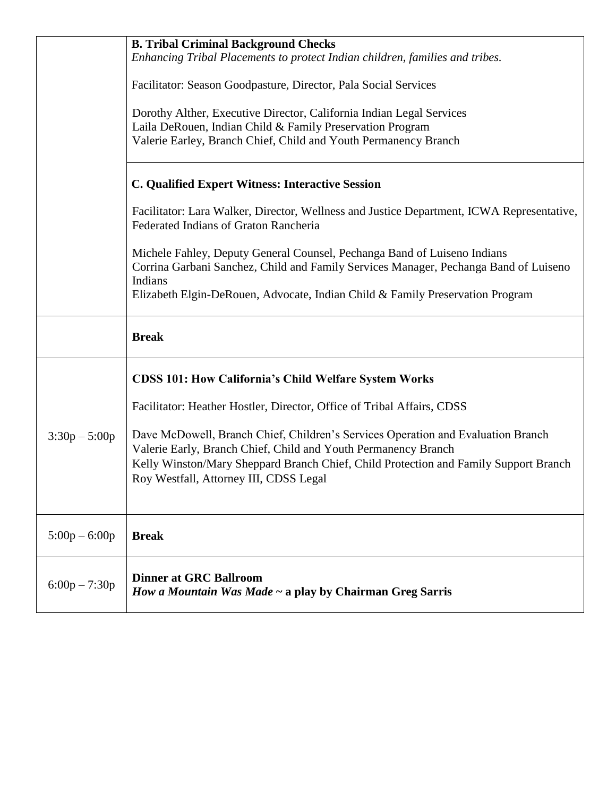|                 | <b>B. Tribal Criminal Background Checks</b><br>Enhancing Tribal Placements to protect Indian children, families and tribes.<br>Facilitator: Season Goodpasture, Director, Pala Social Services<br>Dorothy Alther, Executive Director, California Indian Legal Services<br>Laila DeRouen, Indian Child & Family Preservation Program<br>Valerie Earley, Branch Chief, Child and Youth Permanency Branch<br>C. Qualified Expert Witness: Interactive Session<br>Facilitator: Lara Walker, Director, Wellness and Justice Department, ICWA Representative,<br>Federated Indians of Graton Rancheria<br>Michele Fahley, Deputy General Counsel, Pechanga Band of Luiseno Indians<br>Corrina Garbani Sanchez, Child and Family Services Manager, Pechanga Band of Luiseno<br>Indians<br>Elizabeth Elgin-DeRouen, Advocate, Indian Child & Family Preservation Program |
|-----------------|------------------------------------------------------------------------------------------------------------------------------------------------------------------------------------------------------------------------------------------------------------------------------------------------------------------------------------------------------------------------------------------------------------------------------------------------------------------------------------------------------------------------------------------------------------------------------------------------------------------------------------------------------------------------------------------------------------------------------------------------------------------------------------------------------------------------------------------------------------------|
|                 | <b>Break</b>                                                                                                                                                                                                                                                                                                                                                                                                                                                                                                                                                                                                                                                                                                                                                                                                                                                     |
| $3:30p - 5:00p$ | <b>CDSS 101: How California's Child Welfare System Works</b><br>Facilitator: Heather Hostler, Director, Office of Tribal Affairs, CDSS<br>Dave McDowell, Branch Chief, Children's Services Operation and Evaluation Branch<br>Valerie Early, Branch Chief, Child and Youth Permanency Branch<br>Kelly Winston/Mary Sheppard Branch Chief, Child Protection and Family Support Branch<br>Roy Westfall, Attorney III, CDSS Legal                                                                                                                                                                                                                                                                                                                                                                                                                                   |
| $5:00p - 6:00p$ | <b>Break</b>                                                                                                                                                                                                                                                                                                                                                                                                                                                                                                                                                                                                                                                                                                                                                                                                                                                     |
| $6:00p - 7:30p$ | <b>Dinner at GRC Ballroom</b><br>How a Mountain Was Made ~ a play by Chairman Greg Sarris                                                                                                                                                                                                                                                                                                                                                                                                                                                                                                                                                                                                                                                                                                                                                                        |